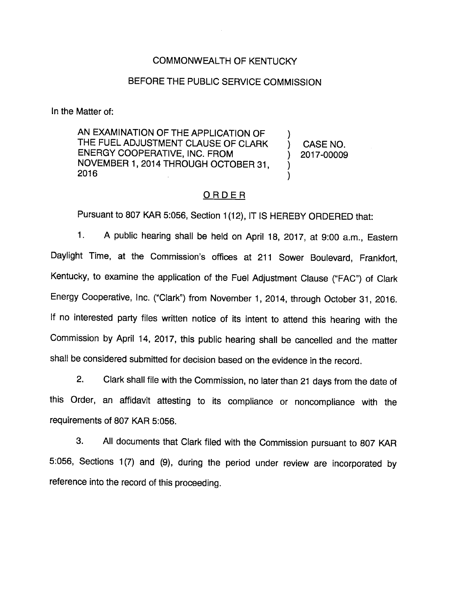## COMMONWEALTH OF KENTUCKY

### BEFORE THE PUBLIC SERVICE COMMISSION

In the Matter of:

AN EXAMINATION OF THE APPLICATION OF THE FUEL ADJUSTMENT CLAUSE OF CLARK ENERGY COOPERATIVE, INC. FROM NOVEMBER 1, 2014 THROUGH OCTOBER31, 2016

CASE NO. 2017-00009

 $\lambda$ 

 $\lambda$ 

## ORDER

Pursuant to 807 KAR 5:056, Section 1(12), IT IS HEREBY ORDERED that:

1. A public hearing shall be held on April 18, 2017, at 9:00 a.m.. Eastern Daylight Time, at the Commission's offices at 211 Sower Boulevard, Frankfort, Kentucky, to examine the application of the Fuel Adjustment Clause ("FAC") of Clark Energy Cooperative, Inc. ("Clark") from November 1, 2014, through October 31, 2016. If no interested party files written notice of its intent to attend this hearing with the Commission by April 14, 2017, this public hearing shall be cancelled and the matter shall be considered submitted for decision based on the evidence in the record.

2. Clark shall file with the Commission, no later than 21 days from the date of this Order, an affidavit attesting to its compliance or noncompliance with the requirements of 807 KAR 5:056.

3. All documents that Clark filed with the Commission pursuant to 807 KAR 5:056, Sections 1(7) and (9), during the period under review are incorporated by reference into the record of this proceeding.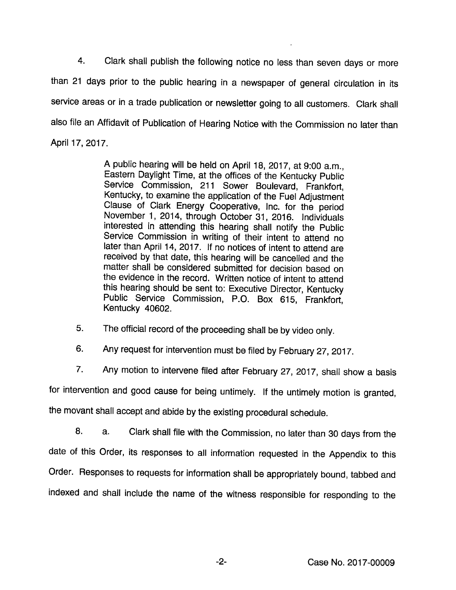4. Clark shall publish the following notice no less than seven days or more than 21 days prior to the pubiic hearing in a newspaper of general circulation in its service areas or in a trade publication or newsletter going to all customers. Clark shall also file an Affidavit of Publication of Hearing Notice with the Commission no later than Aprii 17, 2017.

> A public hearing wili be heid on Aprii 18. 2017, at 9:00 a.m.. Eastern Dayiight Time, at the offices of the Kentucky Public Service Commission, 211 Sower Boulevard, Frankfort, Kentucky, to examine the application of the Fuel Adjustment Clause of Clark Energy Cooperative, Inc. for the period November 1, 2014, through October 31, 2016. Individuals interested in attending this hearing shall notify the Public Service Commission in writing of their intent to attend no later than April 14, 2017. If no notices of intent to attend are received by that date, this hearing wiii be cancelled and the matter shall be considered submitted for decision based on the evidence in the record. Written notice of intent to attend this hearing should be sent to: Executive Director, Kentucky Pubiic Service Commission, P.O. Box 615, Frankfort, Kentucky 40602.

- 5. The official record of the proceeding shall be by video only.
- 6. Any request for intervention must be filed by February 27, 2017.
- 7. Any motion to intervene filed after February 27, 2017, shall show a basis

for intervention and good cause for being untimely, if the untimely motion is granted,

the movant shall accept and abide by the existing procedural schedule.

8. Clark shall file with the Commission, no later than 30 days from the a. date of this Order, its responses to all information requested in the Appendix to this Order. Responses to requests for information shall be appropriately bound, tabbed and indexed and shaii include the name of the witness responsible for responding to the

 $-2-$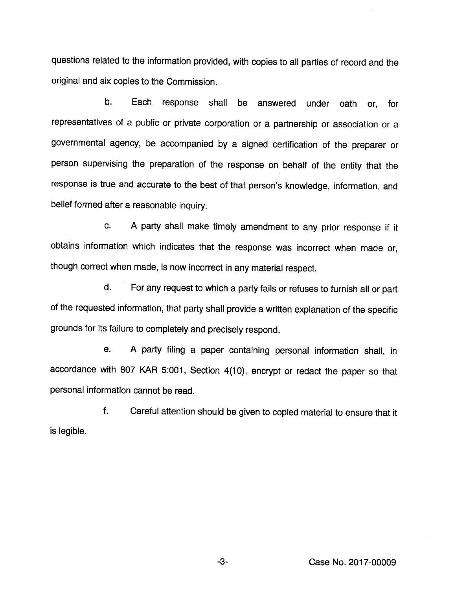questions related to the information provided, with copies to all parties of record and the original and six copies to the Commission.

b. Each response shall be answered under oath or, for representatives of a public or private corporation or a partnership or association or a governmental agency, be accompanied by a signed certification of the preparer or person supervising the preparation of the response on behalf of the entity that the response is true and accurate to the best of that person's knowledge, information, and belief formed after a reasonable inquiry.

c. A party shall make timely amendment to any prior response if it obtains information which indicates that the response was incorrect when made or, though correct when made, is now incorrect in any material respect.

d. For any request to which a party falls or refuses to furnish all or part of the requested information, that party shall provide a written explanation of the specific grounds for its failure to completely and precisely respond.

e. A party filing a paper containing personal information shall, in accordance with 807 KAR 5:001, Section 4(10), encrypt or redact the paper so that personal information cannot be read.

f. Careful attention should be given to copied material to ensure that It is legible.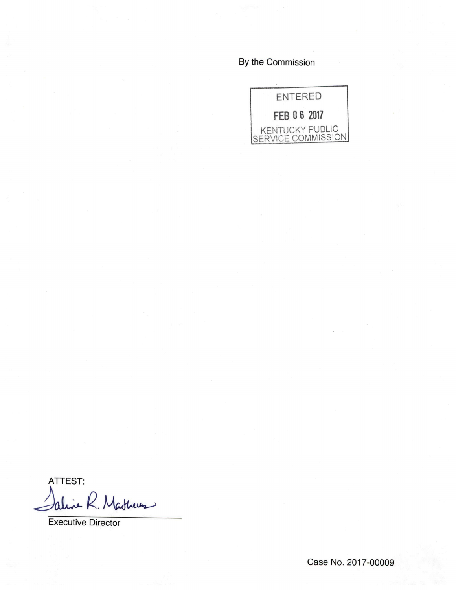By the Commission



ATTEST: aline R. Mathews

Executive Director

Case No. 2017-00009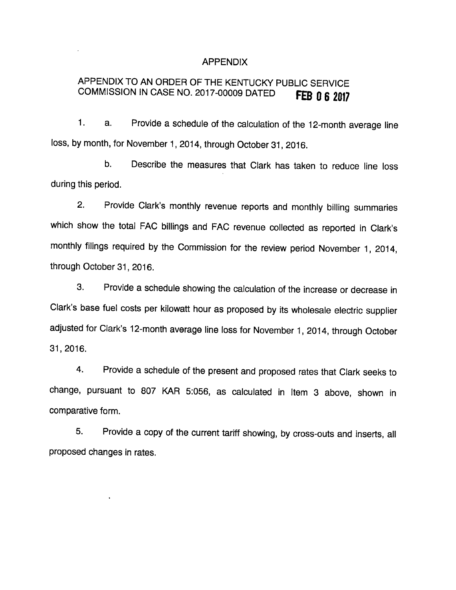### APPENDIX

# APPENDIX TO AN ORDER OF THE KENTUCKY PUBLIC SERVICE COMMISSION IN CASE NO. 2017-00009 DATED FEB 0 6 2017

 $1<sub>1</sub>$ a. Provide a schedule of the calculation of the 12-month average line loss, by month, for November 1, 2014, through October 31, 2016.

b. Describe the measures that Clark has taken to reduce line loss during this period.

2. Provide Clark's monthly revenue reports and monthly billing summaries which show the total FAC billings and FAC revenue collected as reported in Clark's monthly filings required by the Commission for the review period November 1, 2014, through October 31, 2016.

3. Provide a schedule showing the calculation of the increase or decrease in Clark's base fuel costs per kilowatt hour as proposed by its wholesale electric supplier adjusted for Clark's 12-month average line loss for November 1, 2014, through October 31, 2016.

4. Provide a schedule of the present and proposed rates that Clark seeks to change, pursuant to 807 KAR 5:056, as calculated in Item 3 above, shown in comparative form.

5. Provide a copy of the current tariff showing, by cross-outs and inserts, all proposed changes in rates.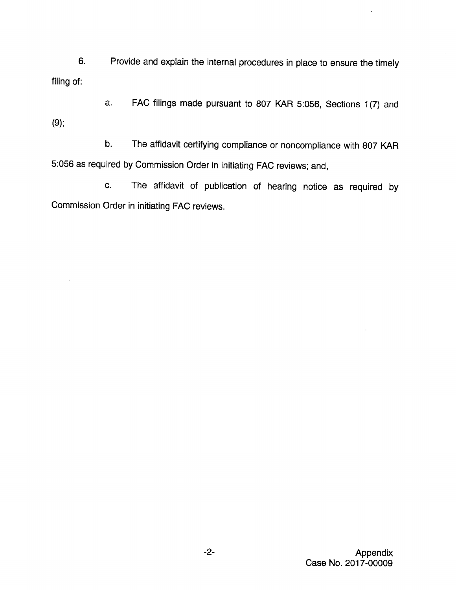6. Provide and explain the internal procedures in place to ensure the timely filing of:

a. FAC filings made pursuant to 807 KAR 5:056, Sections 1(7) and (9);

b. The affidavit certifying compliance or noncompliance with 807 KAR 5:056 as required byCommission Order in initiating FAC reviews; and,

c. The affidavit of publication of hearing notice as required by Commission Order in initiating FAC reviews.